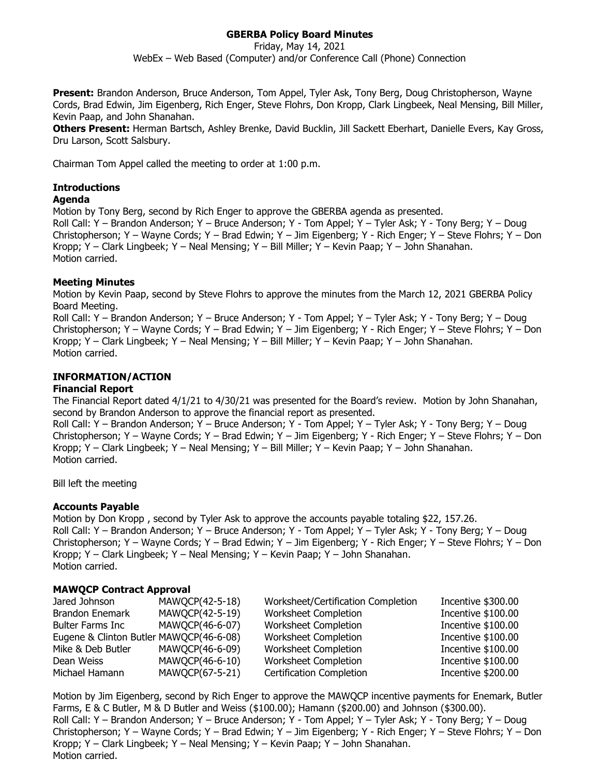# **GBERBA Policy Board Minutes**

Friday, May 14, 2021 WebEx – Web Based (Computer) and/or Conference Call (Phone) Connection

**Present:** Brandon Anderson, Bruce Anderson, Tom Appel, Tyler Ask, Tony Berg, Doug Christopherson, Wayne Cords, Brad Edwin, Jim Eigenberg, Rich Enger, Steve Flohrs, Don Kropp, Clark Lingbeek, Neal Mensing, Bill Miller, Kevin Paap, and John Shanahan.

**Others Present:** Herman Bartsch, Ashley Brenke, David Bucklin, Jill Sackett Eberhart, Danielle Evers, Kay Gross, Dru Larson, Scott Salsbury.

Chairman Tom Appel called the meeting to order at 1:00 p.m.

## **Introductions**

## **Agenda**

Motion by Tony Berg, second by Rich Enger to approve the GBERBA agenda as presented. Roll Call: Y – Brandon Anderson; Y – Bruce Anderson; Y - Tom Appel; Y – Tyler Ask; Y - Tony Berg; Y – Doug Christopherson; Y – Wayne Cords; Y – Brad Edwin; Y – Jim Eigenberg; Y - Rich Enger; Y – Steve Flohrs; Y – Don Kropp; Y – Clark Lingbeek; Y – Neal Mensing; Y – Bill Miller; Y – Kevin Paap; Y – John Shanahan. Motion carried.

## **Meeting Minutes**

Motion by Kevin Paap, second by Steve Flohrs to approve the minutes from the March 12, 2021 GBERBA Policy Board Meeting.

Roll Call: Y – Brandon Anderson; Y – Bruce Anderson; Y - Tom Appel; Y – Tyler Ask; Y - Tony Berg; Y – Doug Christopherson; Y – Wayne Cords; Y – Brad Edwin; Y – Jim Eigenberg; Y - Rich Enger; Y – Steve Flohrs; Y – Don Kropp; Y – Clark Lingbeek; Y – Neal Mensing; Y – Bill Miller; Y – Kevin Paap; Y – John Shanahan. Motion carried.

# **INFORMATION/ACTION**

#### **Financial Report**

The Financial Report dated 4/1/21 to 4/30/21 was presented for the Board's review. Motion by John Shanahan, second by Brandon Anderson to approve the financial report as presented.

Roll Call: Y – Brandon Anderson; Y – Bruce Anderson; Y - Tom Appel; Y – Tyler Ask; Y - Tony Berg; Y – Doug Christopherson; Y – Wayne Cords; Y – Brad Edwin; Y – Jim Eigenberg; Y - Rich Enger; Y – Steve Flohrs; Y – Don Kropp; Y – Clark Lingbeek; Y – Neal Mensing; Y – Bill Miller; Y – Kevin Paap; Y – John Shanahan. Motion carried.

Bill left the meeting

#### **Accounts Payable**

Motion by Don Kropp , second by Tyler Ask to approve the accounts payable totaling \$22, 157.26. Roll Call: Y – Brandon Anderson; Y – Bruce Anderson; Y - Tom Appel; Y – Tyler Ask; Y - Tony Berg; Y – Doug Christopherson; Y – Wayne Cords; Y – Brad Edwin; Y – Jim Eigenberg; Y - Rich Enger; Y – Steve Flohrs; Y – Don Kropp; Y – Clark Lingbeek; Y – Neal Mensing; Y – Kevin Paap; Y – John Shanahan. Motion carried.

#### **MAWQCP Contract Approval**

| Jared Johnson                           | MAWQCP(42-5-18) | Worksheet/Certification Completion | Incentive \$300.00 |
|-----------------------------------------|-----------------|------------------------------------|--------------------|
| <b>Brandon Enemark</b>                  | MAWQCP(42-5-19) | Worksheet Completion               | Incentive \$100.00 |
| <b>Bulter Farms Inc</b>                 | MAWQCP(46-6-07) | Worksheet Completion               | Incentive \$100.00 |
| Eugene & Clinton Butler MAWQCP(46-6-08) |                 | Worksheet Completion               | Incentive \$100.00 |
| Mike & Deb Butler                       | MAWQCP(46-6-09) | Worksheet Completion               | Incentive \$100.00 |
| Dean Weiss                              | MAWQCP(46-6-10) | Worksheet Completion               | Incentive \$100.00 |
| Michael Hamann                          | MAWQCP(67-5-21) | <b>Certification Completion</b>    | Incentive \$200.00 |

Motion by Jim Eigenberg, second by Rich Enger to approve the MAWQCP incentive payments for Enemark, Butler Farms, E & C Butler, M & D Butler and Weiss (\$100.00); Hamann (\$200.00) and Johnson (\$300.00). Roll Call: Y – Brandon Anderson; Y – Bruce Anderson; Y - Tom Appel; Y – Tyler Ask; Y - Tony Berg; Y – Doug Christopherson; Y – Wayne Cords; Y – Brad Edwin; Y – Jim Eigenberg; Y - Rich Enger; Y – Steve Flohrs; Y – Don Kropp; Y – Clark Lingbeek; Y – Neal Mensing; Y – Kevin Paap; Y – John Shanahan. Motion carried.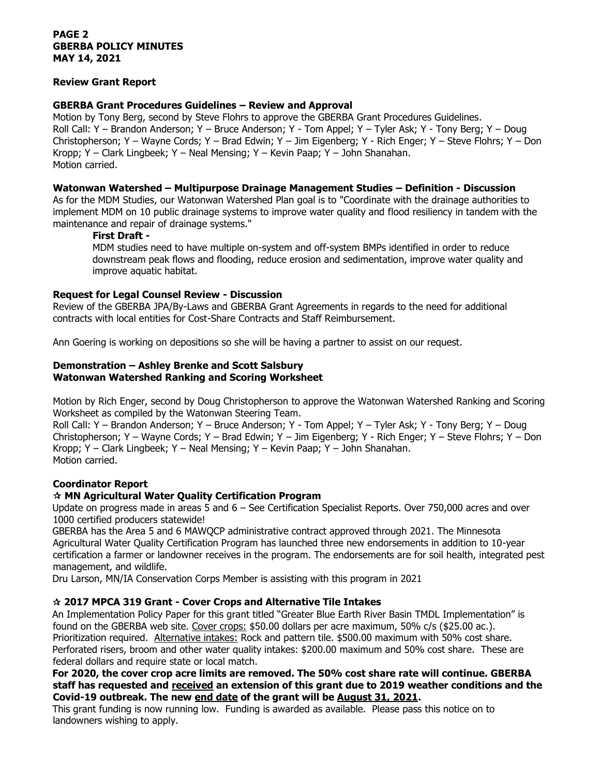## **PAGE 2 GBERBA POLICY MINUTES MAY 14, 2021**

## **Review Grant Report**

## **GBERBA Grant Procedures Guidelines – Review and Approval**

Motion by Tony Berg, second by Steve Flohrs to approve the GBERBA Grant Procedures Guidelines. Roll Call: Y – Brandon Anderson; Y – Bruce Anderson; Y - Tom Appel; Y – Tyler Ask; Y - Tony Berg; Y – Doug Christopherson; Y – Wayne Cords; Y – Brad Edwin; Y – Jim Eigenberg; Y - Rich Enger; Y – Steve Flohrs; Y – Don Kropp; Y – Clark Lingbeek; Y – Neal Mensing; Y – Kevin Paap; Y – John Shanahan. Motion carried.

## **Watonwan Watershed – Multipurpose Drainage Management Studies – Definition - Discussion**

As for the MDM Studies, our Watonwan Watershed Plan goal is to "Coordinate with the drainage authorities to implement MDM on 10 public drainage systems to improve water quality and flood resiliency in tandem with the maintenance and repair of drainage systems."

#### **First Draft -**

MDM studies need to have multiple on-system and off-system BMPs identified in order to reduce downstream peak flows and flooding, reduce erosion and sedimentation, improve water quality and improve aquatic habitat.

## **Request for Legal Counsel Review - Discussion**

Review of the GBERBA JPA/By-Laws and GBERBA Grant Agreements in regards to the need for additional contracts with local entities for Cost-Share Contracts and Staff Reimbursement.

Ann Goering is working on depositions so she will be having a partner to assist on our request.

# **Demonstration – Ashley Brenke and Scott Salsbury Watonwan Watershed Ranking and Scoring Worksheet**

Motion by Rich Enger, second by Doug Christopherson to approve the Watonwan Watershed Ranking and Scoring Worksheet as compiled by the Watonwan Steering Team.

Roll Call: Y – Brandon Anderson; Y – Bruce Anderson; Y - Tom Appel; Y – Tyler Ask; Y - Tony Berg; Y – Doug Christopherson; Y – Wayne Cords; Y – Brad Edwin; Y – Jim Eigenberg; Y - Rich Enger; Y – Steve Flohrs; Y – Don Kropp; Y – Clark Lingbeek; Y – Neal Mensing; Y – Kevin Paap; Y – John Shanahan. Motion carried.

# **Coordinator Report**

# **MN Agricultural Water Quality Certification Program**

Update on progress made in areas 5 and 6 – See Certification Specialist Reports. Over 750,000 acres and over 1000 certified producers statewide!

GBERBA has the Area 5 and 6 MAWQCP administrative contract approved through 2021. The Minnesota Agricultural Water Quality Certification Program has launched three new endorsements in addition to 10-year certification a farmer or landowner receives in the program. The endorsements are for soil health, integrated pest management, and wildlife.

Dru Larson, MN/IA Conservation Corps Member is assisting with this program in 2021

# **2017 MPCA 319 Grant - Cover Crops and Alternative Tile Intakes**

An Implementation Policy Paper for this grant titled "Greater Blue Earth River Basin TMDL Implementation" is found on the GBERBA web site. Cover crops: \$50.00 dollars per acre maximum, 50% c/s (\$25.00 ac.). Prioritization required. Alternative intakes: Rock and pattern tile. \$500.00 maximum with 50% cost share. Perforated risers, broom and other water quality intakes: \$200.00 maximum and 50% cost share. These are federal dollars and require state or local match.

## **For 2020, the cover crop acre limits are removed. The 50% cost share rate will continue. GBERBA staff has requested and received an extension of this grant due to 2019 weather conditions and the Covid-19 outbreak. The new end date of the grant will be August 31, 2021.**

This grant funding is now running low. Funding is awarded as available. Please pass this notice on to landowners wishing to apply.